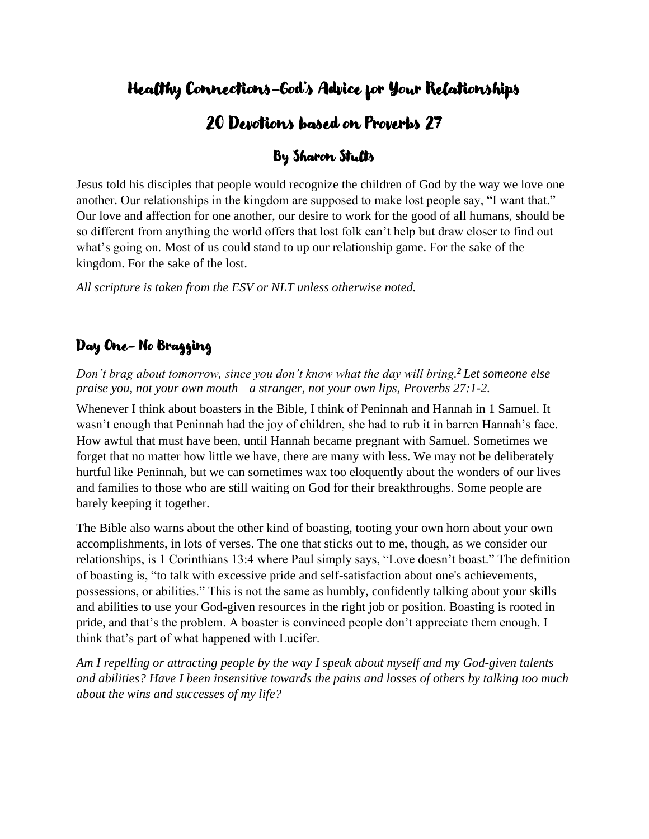## Healthy Connections-God's Advice for Your Relationships

# 20 Devotions based on Proverbs 27

## By Sharon Stults

Jesus told his disciples that people would recognize the children of God by the way we love one another. Our relationships in the kingdom are supposed to make lost people say, "I want that." Our love and affection for one another, our desire to work for the good of all humans, should be so different from anything the world offers that lost folk can't help but draw closer to find out what's going on. Most of us could stand to up our relationship game. For the sake of the kingdom. For the sake of the lost.

*All scripture is taken from the ESV or NLT unless otherwise noted.*

## Day One- No Bragging

*Don't brag about tomorrow, since you don't know what the day will bring.<sup>2</sup> Let someone else praise you, not your own mouth—a stranger, not your own lips, Proverbs 27:1-2.*

Whenever I think about boasters in the Bible, I think of Peninnah and Hannah in 1 Samuel. It wasn't enough that Peninnah had the joy of children, she had to rub it in barren Hannah's face. How awful that must have been, until Hannah became pregnant with Samuel. Sometimes we forget that no matter how little we have, there are many with less. We may not be deliberately hurtful like Peninnah, but we can sometimes wax too eloquently about the wonders of our lives and families to those who are still waiting on God for their breakthroughs. Some people are barely keeping it together.

The Bible also warns about the other kind of boasting, tooting your own horn about your own accomplishments, in lots of verses. The one that sticks out to me, though, as we consider our relationships, is 1 Corinthians 13:4 where Paul simply says, "Love doesn't boast." The definition of boasting is, "to talk with excessive pride and self-satisfaction about one's achievements, possessions, or abilities." This is not the same as humbly, confidently talking about your skills and abilities to use your God-given resources in the right job or position. Boasting is rooted in pride, and that's the problem. A boaster is convinced people don't appreciate them enough. I think that's part of what happened with Lucifer.

*Am I repelling or attracting people by the way I speak about myself and my God-given talents and abilities? Have I been insensitive towards the pains and losses of others by talking too much about the wins and successes of my life?*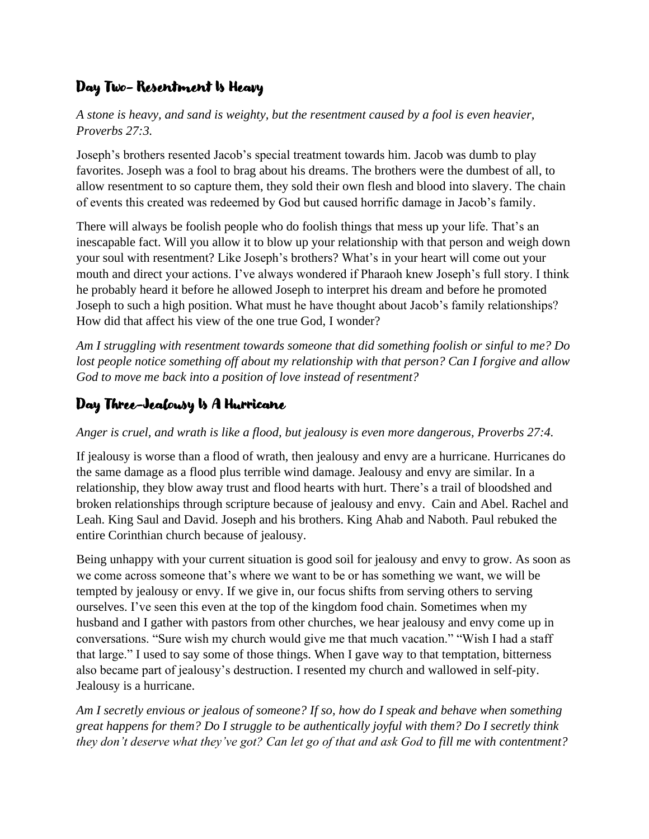## Day Two- Resentment Is Heavy

*A stone is heavy, and sand is weighty, but the resentment caused by a fool is even heavier, Proverbs 27:3.* 

Joseph's brothers resented Jacob's special treatment towards him. Jacob was dumb to play favorites. Joseph was a fool to brag about his dreams. The brothers were the dumbest of all, to allow resentment to so capture them, they sold their own flesh and blood into slavery. The chain of events this created was redeemed by God but caused horrific damage in Jacob's family.

There will always be foolish people who do foolish things that mess up your life. That's an inescapable fact. Will you allow it to blow up your relationship with that person and weigh down your soul with resentment? Like Joseph's brothers? What's in your heart will come out your mouth and direct your actions. I've always wondered if Pharaoh knew Joseph's full story. I think he probably heard it before he allowed Joseph to interpret his dream and before he promoted Joseph to such a high position. What must he have thought about Jacob's family relationships? How did that affect his view of the one true God, I wonder?

*Am I struggling with resentment towards someone that did something foolish or sinful to me? Do lost people notice something off about my relationship with that person? Can I forgive and allow God to move me back into a position of love instead of resentment?*

## Day Three-Jealousy Is A Hurricane

#### *Anger is cruel, and wrath is like a flood, but jealousy is even more dangerous, Proverbs 27:4.*

If jealousy is worse than a flood of wrath, then jealousy and envy are a hurricane. Hurricanes do the same damage as a flood plus terrible wind damage. Jealousy and envy are similar. In a relationship, they blow away trust and flood hearts with hurt. There's a trail of bloodshed and broken relationships through scripture because of jealousy and envy. Cain and Abel. Rachel and Leah. King Saul and David. Joseph and his brothers. King Ahab and Naboth. Paul rebuked the entire Corinthian church because of jealousy.

Being unhappy with your current situation is good soil for jealousy and envy to grow. As soon as we come across someone that's where we want to be or has something we want, we will be tempted by jealousy or envy. If we give in, our focus shifts from serving others to serving ourselves. I've seen this even at the top of the kingdom food chain. Sometimes when my husband and I gather with pastors from other churches, we hear jealousy and envy come up in conversations. "Sure wish my church would give me that much vacation." "Wish I had a staff that large." I used to say some of those things. When I gave way to that temptation, bitterness also became part of jealousy's destruction. I resented my church and wallowed in self-pity. Jealousy is a hurricane.

*Am I secretly envious or jealous of someone? If so, how do I speak and behave when something great happens for them? Do I struggle to be authentically joyful with them? Do I secretly think they don't deserve what they've got? Can let go of that and ask God to fill me with contentment?*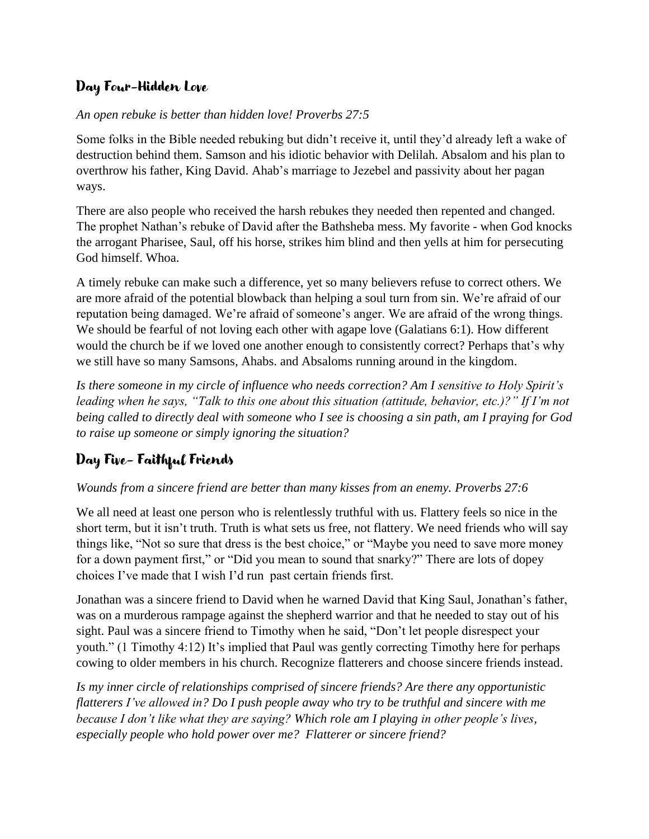### Day Four-Hidden Love

#### *An open rebuke is better than hidden love! Proverbs 27:5*

Some folks in the Bible needed rebuking but didn't receive it, until they'd already left a wake of destruction behind them. Samson and his idiotic behavior with Delilah. Absalom and his plan to overthrow his father, King David. Ahab's marriage to Jezebel and passivity about her pagan ways.

There are also people who received the harsh rebukes they needed then repented and changed. The prophet Nathan's rebuke of David after the Bathsheba mess. My favorite - when God knocks the arrogant Pharisee, Saul, off his horse, strikes him blind and then yells at him for persecuting God himself. Whoa.

A timely rebuke can make such a difference, yet so many believers refuse to correct others. We are more afraid of the potential blowback than helping a soul turn from sin. We're afraid of our reputation being damaged. We're afraid of someone's anger. We are afraid of the wrong things. We should be fearful of not loving each other with agape love (Galatians 6:1). How different would the church be if we loved one another enough to consistently correct? Perhaps that's why we still have so many Samsons, Ahabs. and Absaloms running around in the kingdom.

*Is there someone in my circle of influence who needs correction? Am I sensitive to Holy Spirit's leading when he says, "Talk to this one about this situation (attitude, behavior, etc.)?" If I'm not being called to directly deal with someone who I see is choosing a sin path, am I praying for God to raise up someone or simply ignoring the situation?*

## Day Five- Faithful Friends

#### *Wounds from a sincere friend are better than many kisses from an enemy. Proverbs 27:6*

We all need at least one person who is relentlessly truthful with us. Flattery feels so nice in the short term, but it isn't truth. Truth is what sets us free, not flattery. We need friends who will say things like, "Not so sure that dress is the best choice," or "Maybe you need to save more money for a down payment first," or "Did you mean to sound that snarky?" There are lots of dopey choices I've made that I wish I'd run past certain friends first.

Jonathan was a sincere friend to David when he warned David that King Saul, Jonathan's father, was on a murderous rampage against the shepherd warrior and that he needed to stay out of his sight. Paul was a sincere friend to Timothy when he said, "Don't let people disrespect your youth." (1 Timothy 4:12) It's implied that Paul was gently correcting Timothy here for perhaps cowing to older members in his church. Recognize flatterers and choose sincere friends instead.

*Is my inner circle of relationships comprised of sincere friends? Are there any opportunistic flatterers I've allowed in? Do I push people away who try to be truthful and sincere with me because I don't like what they are saying? Which role am I playing in other people's lives, especially people who hold power over me? Flatterer or sincere friend?*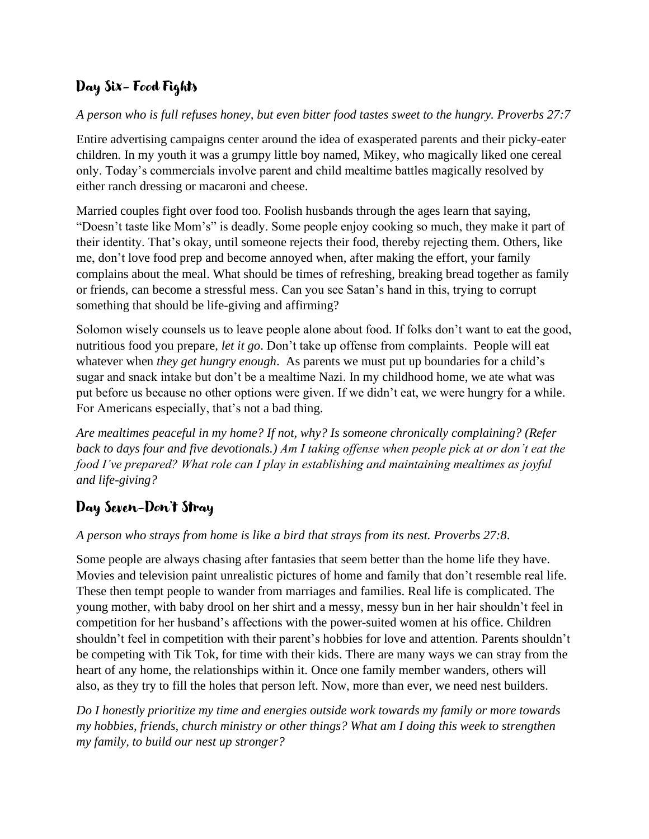## Day Six- Food Fights

#### *A person who is full refuses honey, but even bitter food tastes sweet to the hungry. Proverbs 27:7*

Entire advertising campaigns center around the idea of exasperated parents and their picky-eater children. In my youth it was a grumpy little boy named, Mikey, who magically liked one cereal only. Today's commercials involve parent and child mealtime battles magically resolved by either ranch dressing or macaroni and cheese.

Married couples fight over food too. Foolish husbands through the ages learn that saying, "Doesn't taste like Mom's" is deadly. Some people enjoy cooking so much, they make it part of their identity. That's okay, until someone rejects their food, thereby rejecting them. Others, like me, don't love food prep and become annoyed when, after making the effort, your family complains about the meal. What should be times of refreshing, breaking bread together as family or friends, can become a stressful mess. Can you see Satan's hand in this, trying to corrupt something that should be life-giving and affirming?

Solomon wisely counsels us to leave people alone about food. If folks don't want to eat the good, nutritious food you prepare, *let it go*. Don't take up offense from complaints. People will eat whatever when *they get hungry enough*. As parents we must put up boundaries for a child's sugar and snack intake but don't be a mealtime Nazi. In my childhood home, we ate what was put before us because no other options were given. If we didn't eat, we were hungry for a while. For Americans especially, that's not a bad thing.

*Are mealtimes peaceful in my home? If not, why? Is someone chronically complaining? (Refer back to days four and five devotionals.) Am I taking offense when people pick at or don't eat the food I've prepared? What role can I play in establishing and maintaining mealtimes as joyful and life-giving?*

## Day Seven-Don't Stray

#### *A person who strays from home is like a bird that strays from its nest. Proverbs 27:8*.

Some people are always chasing after fantasies that seem better than the home life they have. Movies and television paint unrealistic pictures of home and family that don't resemble real life. These then tempt people to wander from marriages and families. Real life is complicated. The young mother, with baby drool on her shirt and a messy, messy bun in her hair shouldn't feel in competition for her husband's affections with the power-suited women at his office. Children shouldn't feel in competition with their parent's hobbies for love and attention. Parents shouldn't be competing with Tik Tok, for time with their kids. There are many ways we can stray from the heart of any home, the relationships within it. Once one family member wanders, others will also, as they try to fill the holes that person left. Now, more than ever, we need nest builders.

*Do I honestly prioritize my time and energies outside work towards my family or more towards my hobbies, friends, church ministry or other things? What am I doing this week to strengthen my family, to build our nest up stronger?*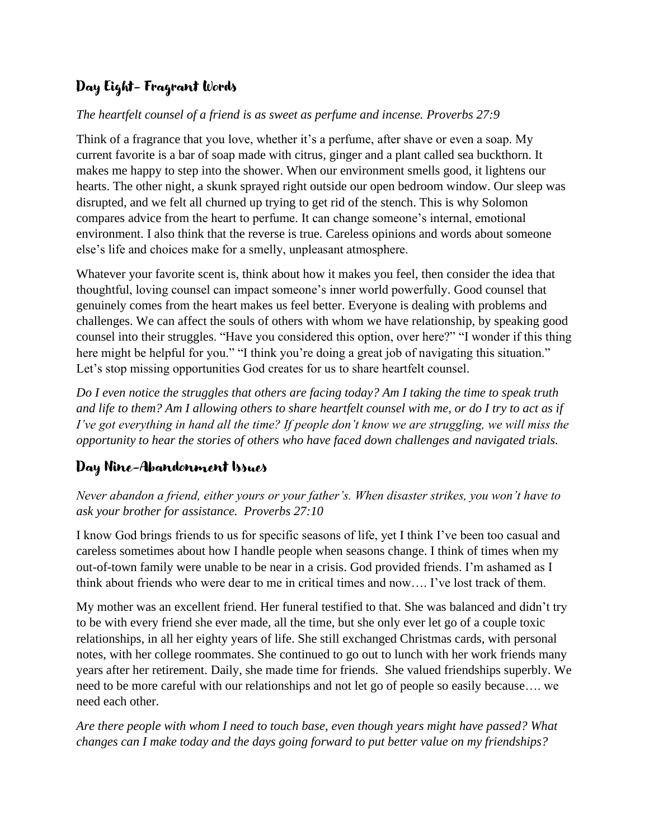### Day Eight- Fragrant Words

#### *The heartfelt counsel of a friend is as sweet as perfume and incense. Proverbs 27:9*

Think of a fragrance that you love, whether it's a perfume, after shave or even a soap. My current favorite is a bar of soap made with citrus, ginger and a plant called sea buckthorn. It makes me happy to step into the shower. When our environment smells good, it lightens our hearts. The other night, a skunk sprayed right outside our open bedroom window. Our sleep was disrupted, and we felt all churned up trying to get rid of the stench. This is why Solomon compares advice from the heart to perfume. It can change someone's internal, emotional environment. I also think that the reverse is true. Careless opinions and words about someone else's life and choices make for a smelly, unpleasant atmosphere.

Whatever your favorite scent is, think about how it makes you feel, then consider the idea that thoughtful, loving counsel can impact someone's inner world powerfully. Good counsel that genuinely comes from the heart makes us feel better. Everyone is dealing with problems and challenges. We can affect the souls of others with whom we have relationship, by speaking good counsel into their struggles. "Have you considered this option, over here?" "I wonder if this thing here might be helpful for you." "I think you're doing a great job of navigating this situation." Let's stop missing opportunities God creates for us to share heartfelt counsel.

*Do I even notice the struggles that others are facing today? Am I taking the time to speak truth and life to them? Am I allowing others to share heartfelt counsel with me, or do I try to act as if I've got everything in hand all the time? If people don't know we are struggling, we will miss the opportunity to hear the stories of others who have faced down challenges and navigated trials.*

#### Day Nine-Abandonment Issues

*Never abandon a friend, either yours or your father's. When disaster strikes, you won't have to ask your brother for assistance. Proverbs 27:10*

I know God brings friends to us for specific seasons of life, yet I think I've been too casual and careless sometimes about how I handle people when seasons change. I think of times when my out-of-town family were unable to be near in a crisis. God provided friends. I'm ashamed as I think about friends who were dear to me in critical times and now…. I've lost track of them.

My mother was an excellent friend. Her funeral testified to that. She was balanced and didn't try to be with every friend she ever made, all the time, but she only ever let go of a couple toxic relationships, in all her eighty years of life. She still exchanged Christmas cards, with personal notes, with her college roommates. She continued to go out to lunch with her work friends many years after her retirement. Daily, she made time for friends. She valued friendships superbly. We need to be more careful with our relationships and not let go of people so easily because…. we need each other.

*Are there people with whom I need to touch base, even though years might have passed? What changes can I make today and the days going forward to put better value on my friendships?*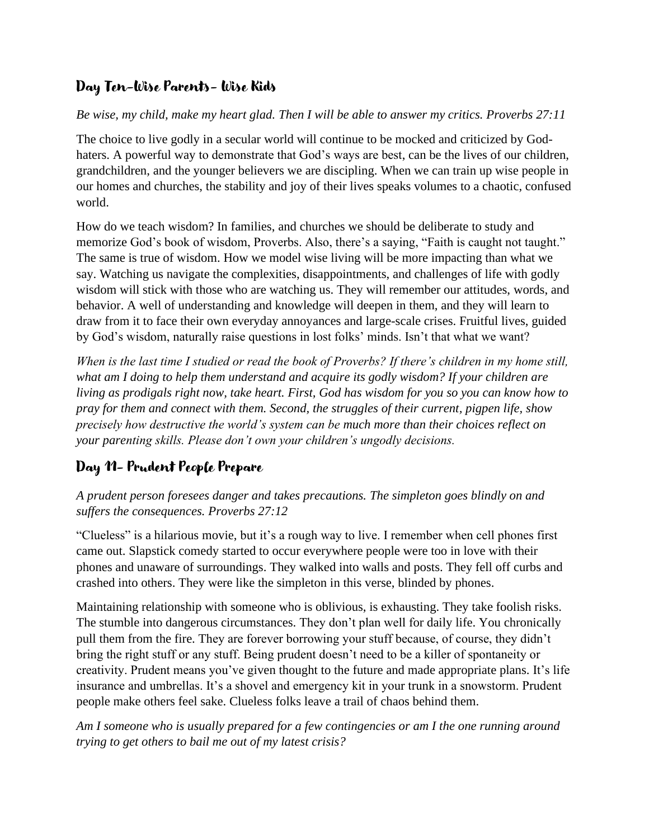### Day Ten-Wise Parents- Wise Kids

#### *Be wise, my child, make my heart glad. Then I will be able to answer my critics. Proverbs 27:11*

The choice to live godly in a secular world will continue to be mocked and criticized by Godhaters. A powerful way to demonstrate that God's ways are best, can be the lives of our children, grandchildren, and the younger believers we are discipling. When we can train up wise people in our homes and churches, the stability and joy of their lives speaks volumes to a chaotic, confused world.

How do we teach wisdom? In families, and churches we should be deliberate to study and memorize God's book of wisdom, Proverbs. Also, there's a saying, "Faith is caught not taught." The same is true of wisdom. How we model wise living will be more impacting than what we say. Watching us navigate the complexities, disappointments, and challenges of life with godly wisdom will stick with those who are watching us. They will remember our attitudes, words, and behavior. A well of understanding and knowledge will deepen in them, and they will learn to draw from it to face their own everyday annoyances and large-scale crises. Fruitful lives, guided by God's wisdom, naturally raise questions in lost folks' minds. Isn't that what we want?

*When is the last time I studied or read the book of Proverbs? If there's children in my home still, what am I doing to help them understand and acquire its godly wisdom? If your children are living as prodigals right now, take heart. First, God has wisdom for you so you can know how to pray for them and connect with them. Second, the struggles of their current, pigpen life, show precisely how destructive the world's system can be much more than their choices reflect on your parenting skills. Please don't own your children's ungodly decisions.* 

### Day 11- Prudent People Prepare

*A prudent person foresees danger and takes precautions. The simpleton goes blindly on and suffers the consequences. Proverbs 27:12*

"Clueless" is a hilarious movie, but it's a rough way to live. I remember when cell phones first came out. Slapstick comedy started to occur everywhere people were too in love with their phones and unaware of surroundings. They walked into walls and posts. They fell off curbs and crashed into others. They were like the simpleton in this verse, blinded by phones.

Maintaining relationship with someone who is oblivious, is exhausting. They take foolish risks. The stumble into dangerous circumstances. They don't plan well for daily life. You chronically pull them from the fire. They are forever borrowing your stuff because, of course, they didn't bring the right stuff or any stuff. Being prudent doesn't need to be a killer of spontaneity or creativity. Prudent means you've given thought to the future and made appropriate plans. It's life insurance and umbrellas. It's a shovel and emergency kit in your trunk in a snowstorm. Prudent people make others feel sake. Clueless folks leave a trail of chaos behind them.

*Am I someone who is usually prepared for a few contingencies or am I the one running around trying to get others to bail me out of my latest crisis?*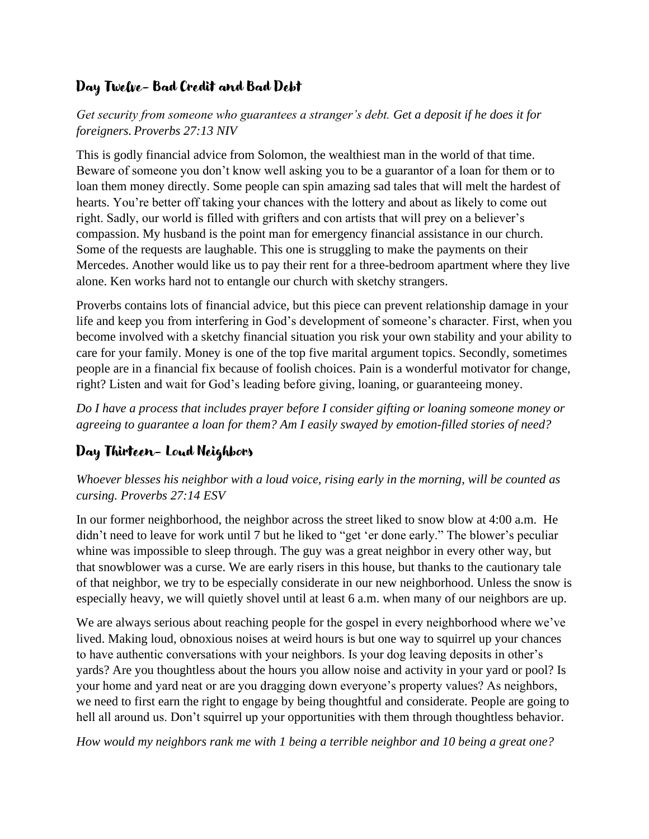### Day Twelve- Bad Credit and Bad Debt

*Get security from someone who guarantees a stranger's debt. Get a deposit if he does it for foreigners. Proverbs 27:13 NIV*

This is godly financial advice from Solomon, the wealthiest man in the world of that time. Beware of someone you don't know well asking you to be a guarantor of a loan for them or to loan them money directly. Some people can spin amazing sad tales that will melt the hardest of hearts. You're better off taking your chances with the lottery and about as likely to come out right. Sadly, our world is filled with grifters and con artists that will prey on a believer's compassion. My husband is the point man for emergency financial assistance in our church. Some of the requests are laughable. This one is struggling to make the payments on their Mercedes. Another would like us to pay their rent for a three-bedroom apartment where they live alone. Ken works hard not to entangle our church with sketchy strangers.

Proverbs contains lots of financial advice, but this piece can prevent relationship damage in your life and keep you from interfering in God's development of someone's character. First, when you become involved with a sketchy financial situation you risk your own stability and your ability to care for your family. Money is one of the top five marital argument topics. Secondly, sometimes people are in a financial fix because of foolish choices. Pain is a wonderful motivator for change, right? Listen and wait for God's leading before giving, loaning, or guaranteeing money.

*Do I have a process that includes prayer before I consider gifting or loaning someone money or agreeing to guarantee a loan for them? Am I easily swayed by emotion-filled stories of need?* 

## Day Thirteen- Loud Neighbors

*Whoever blesses his neighbor with a loud voice, rising early in the morning, will be counted as cursing. Proverbs 27:14 ESV*

In our former neighborhood, the neighbor across the street liked to snow blow at 4:00 a.m. He didn't need to leave for work until 7 but he liked to "get 'er done early." The blower's peculiar whine was impossible to sleep through. The guy was a great neighbor in every other way, but that snowblower was a curse. We are early risers in this house, but thanks to the cautionary tale of that neighbor, we try to be especially considerate in our new neighborhood. Unless the snow is especially heavy, we will quietly shovel until at least 6 a.m. when many of our neighbors are up.

We are always serious about reaching people for the gospel in every neighborhood where we've lived. Making loud, obnoxious noises at weird hours is but one way to squirrel up your chances to have authentic conversations with your neighbors. Is your dog leaving deposits in other's yards? Are you thoughtless about the hours you allow noise and activity in your yard or pool? Is your home and yard neat or are you dragging down everyone's property values? As neighbors, we need to first earn the right to engage by being thoughtful and considerate. People are going to hell all around us. Don't squirrel up your opportunities with them through thoughtless behavior.

*How would my neighbors rank me with 1 being a terrible neighbor and 10 being a great one?*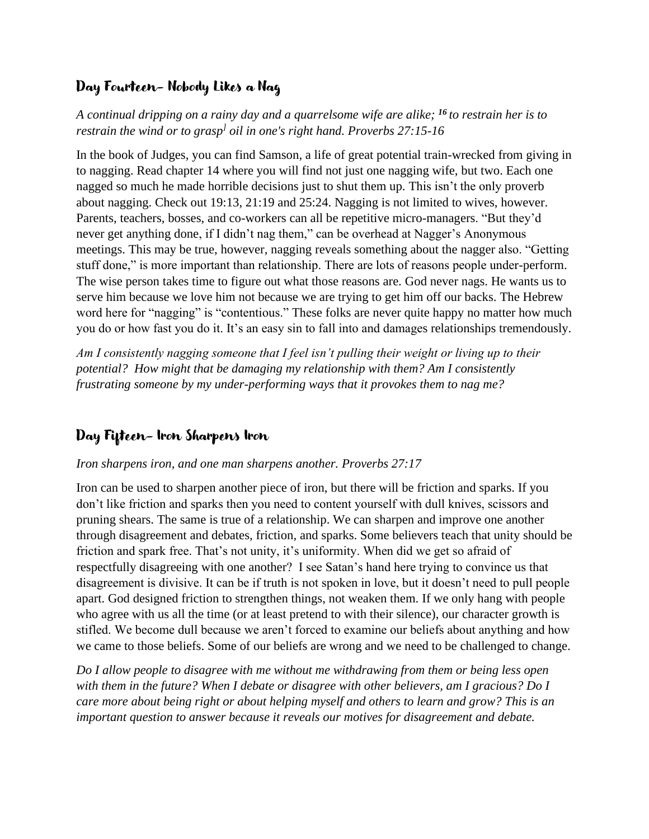### Day Fourteen- Nobody Likes a Nag

*A continual dripping on a rainy day and a quarrelsome wife are alike; <sup>16</sup> to restrain her is to restrain the wind or to grasp ] oil in one's right hand. Proverbs 27:15-16*

In the book of Judges, you can find Samson, a life of great potential train-wrecked from giving in to nagging. Read chapter 14 where you will find not just one nagging wife, but two. Each one nagged so much he made horrible decisions just to shut them up. This isn't the only proverb about nagging. Check out 19:13, 21:19 and 25:24. Nagging is not limited to wives, however. Parents, teachers, bosses, and co-workers can all be repetitive micro-managers. "But they'd never get anything done, if I didn't nag them," can be overhead at Nagger's Anonymous meetings. This may be true, however, nagging reveals something about the nagger also. "Getting stuff done," is more important than relationship. There are lots of reasons people under-perform. The wise person takes time to figure out what those reasons are. God never nags. He wants us to serve him because we love him not because we are trying to get him off our backs. The Hebrew word here for "nagging" is "contentious." These folks are never quite happy no matter how much you do or how fast you do it. It's an easy sin to fall into and damages relationships tremendously.

*Am I consistently nagging someone that I feel isn't pulling their weight or living up to their potential? How might that be damaging my relationship with them? Am I consistently frustrating someone by my under-performing ways that it provokes them to nag me?*

### Day Fifteen- Iron Sharpens Iron

#### *Iron sharpens iron, and one man sharpens another. Proverbs 27:17*

Iron can be used to sharpen another piece of iron, but there will be friction and sparks. If you don't like friction and sparks then you need to content yourself with dull knives, scissors and pruning shears. The same is true of a relationship. We can sharpen and improve one another through disagreement and debates, friction, and sparks. Some believers teach that unity should be friction and spark free. That's not unity, it's uniformity. When did we get so afraid of respectfully disagreeing with one another? I see Satan's hand here trying to convince us that disagreement is divisive. It can be if truth is not spoken in love, but it doesn't need to pull people apart. God designed friction to strengthen things, not weaken them. If we only hang with people who agree with us all the time (or at least pretend to with their silence), our character growth is stifled. We become dull because we aren't forced to examine our beliefs about anything and how we came to those beliefs. Some of our beliefs are wrong and we need to be challenged to change.

*Do I allow people to disagree with me without me withdrawing from them or being less open with them in the future? When I debate or disagree with other believers, am I gracious? Do I care more about being right or about helping myself and others to learn and grow? This is an important question to answer because it reveals our motives for disagreement and debate.*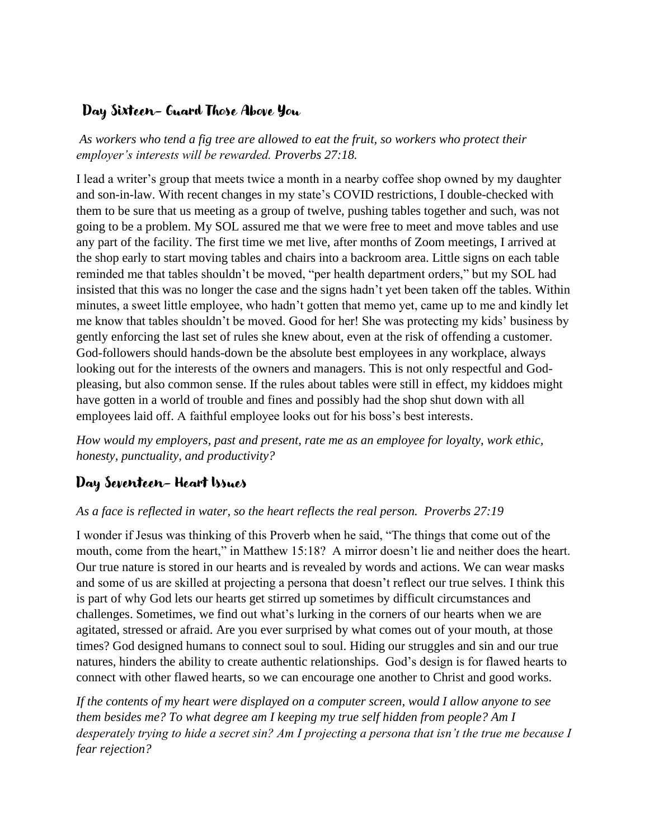### Day Sixteen- Guard Those Above You

*As workers who tend a fig tree are allowed to eat the fruit, so workers who protect their employer's interests will be rewarded. Proverbs 27:18.* 

I lead a writer's group that meets twice a month in a nearby coffee shop owned by my daughter and son-in-law. With recent changes in my state's COVID restrictions, I double-checked with them to be sure that us meeting as a group of twelve, pushing tables together and such, was not going to be a problem. My SOL assured me that we were free to meet and move tables and use any part of the facility. The first time we met live, after months of Zoom meetings, I arrived at the shop early to start moving tables and chairs into a backroom area. Little signs on each table reminded me that tables shouldn't be moved, "per health department orders," but my SOL had insisted that this was no longer the case and the signs hadn't yet been taken off the tables. Within minutes, a sweet little employee, who hadn't gotten that memo yet, came up to me and kindly let me know that tables shouldn't be moved. Good for her! She was protecting my kids' business by gently enforcing the last set of rules she knew about, even at the risk of offending a customer. God-followers should hands-down be the absolute best employees in any workplace, always looking out for the interests of the owners and managers. This is not only respectful and Godpleasing, but also common sense. If the rules about tables were still in effect, my kiddoes might have gotten in a world of trouble and fines and possibly had the shop shut down with all employees laid off. A faithful employee looks out for his boss's best interests.

*How would my employers, past and present, rate me as an employee for loyalty, work ethic, honesty, punctuality, and productivity?*

### Day Seventeen- Heart Issues

#### *As a face is reflected in water, so the heart reflects the real person. Proverbs 27:19*

I wonder if Jesus was thinking of this Proverb when he said, "The things that come out of the mouth, come from the heart," in Matthew 15:18? A mirror doesn't lie and neither does the heart. Our true nature is stored in our hearts and is revealed by words and actions. We can wear masks and some of us are skilled at projecting a persona that doesn't reflect our true selves. I think this is part of why God lets our hearts get stirred up sometimes by difficult circumstances and challenges. Sometimes, we find out what's lurking in the corners of our hearts when we are agitated, stressed or afraid. Are you ever surprised by what comes out of your mouth, at those times? God designed humans to connect soul to soul. Hiding our struggles and sin and our true natures, hinders the ability to create authentic relationships. God's design is for flawed hearts to connect with other flawed hearts, so we can encourage one another to Christ and good works.

*If the contents of my heart were displayed on a computer screen, would I allow anyone to see them besides me? To what degree am I keeping my true self hidden from people? Am I desperately trying to hide a secret sin? Am I projecting a persona that isn't the true me because I fear rejection?*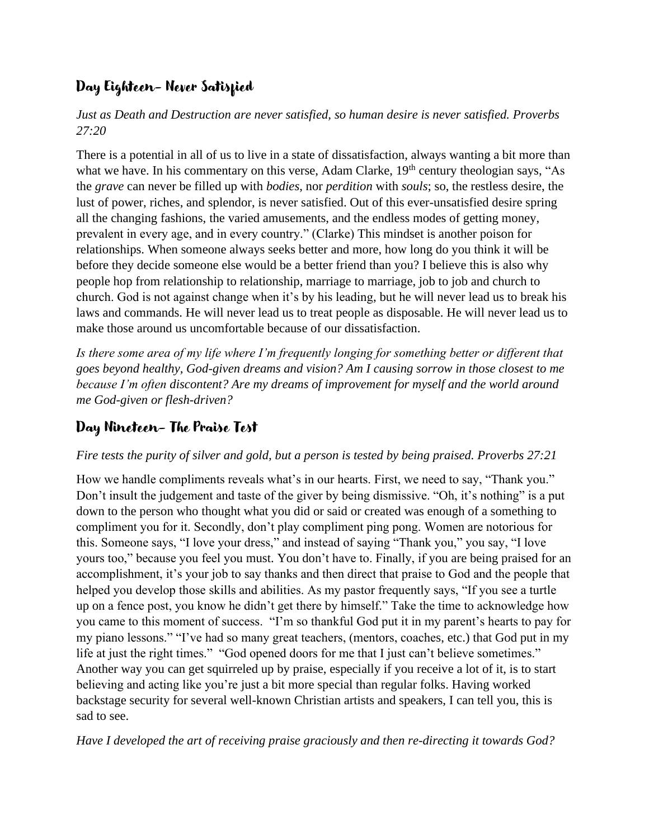## Day Eighteen- Never Satisfied

*Just as Death and Destruction are never satisfied, so human desire is never satisfied. Proverbs 27:20*

There is a potential in all of us to live in a state of dissatisfaction, always wanting a bit more than what we have. In his commentary on this verse, Adam Clarke, 19<sup>th</sup> century theologian says, "As the *grave* can never be filled up with *bodies*, nor *perdition* with *souls*; so, the restless desire, the lust of power, riches, and splendor, is never satisfied. Out of this ever-unsatisfied desire spring all the changing fashions, the varied amusements, and the endless modes of getting money, prevalent in every age, and in every country." (Clarke) This mindset is another poison for relationships. When someone always seeks better and more, how long do you think it will be before they decide someone else would be a better friend than you? I believe this is also why people hop from relationship to relationship, marriage to marriage, job to job and church to church. God is not against change when it's by his leading, but he will never lead us to break his laws and commands. He will never lead us to treat people as disposable. He will never lead us to make those around us uncomfortable because of our dissatisfaction.

*Is there some area of my life where I'm frequently longing for something better or different that goes beyond healthy, God-given dreams and vision? Am I causing sorrow in those closest to me because I'm often discontent? Are my dreams of improvement for myself and the world around me God-given or flesh-driven?*

### Day Nineteen- The Praise Test

#### *Fire tests the purity of silver and gold, but a person is tested by being praised. Proverbs 27:21*

How we handle compliments reveals what's in our hearts. First, we need to say, "Thank you." Don't insult the judgement and taste of the giver by being dismissive. "Oh, it's nothing" is a put down to the person who thought what you did or said or created was enough of a something to compliment you for it. Secondly, don't play compliment ping pong. Women are notorious for this. Someone says, "I love your dress," and instead of saying "Thank you," you say, "I love yours too," because you feel you must. You don't have to. Finally, if you are being praised for an accomplishment, it's your job to say thanks and then direct that praise to God and the people that helped you develop those skills and abilities. As my pastor frequently says, "If you see a turtle up on a fence post, you know he didn't get there by himself." Take the time to acknowledge how you came to this moment of success. "I'm so thankful God put it in my parent's hearts to pay for my piano lessons." "I've had so many great teachers, (mentors, coaches, etc.) that God put in my life at just the right times." "God opened doors for me that I just can't believe sometimes." Another way you can get squirreled up by praise, especially if you receive a lot of it, is to start believing and acting like you're just a bit more special than regular folks. Having worked backstage security for several well-known Christian artists and speakers, I can tell you, this is sad to see.

*Have I developed the art of receiving praise graciously and then re-directing it towards God?*